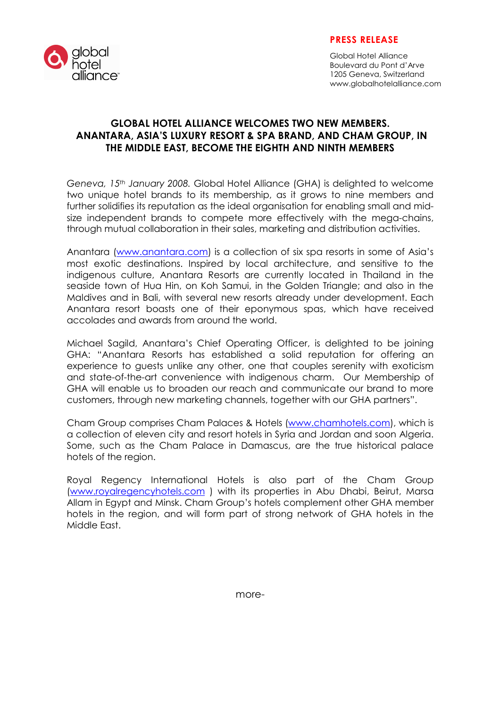

## PRESS RELEASE

Global Hotel Alliance Boulevard du Pont d'Arve 1205 Geneva, Switzerland www.globalhotelalliance.com

# GLOBAL HOTEL ALLIANCE WELCOMES TWO NEW MEMBERS. ANANTARA, ASIA'S LUXURY RESORT & SPA BRAND, AND CHAM GROUP, IN THE MIDDLE EAST, BECOME THE EIGHTH AND NINTH MEMBERS

Geneva, 15th January 2008. Global Hotel Alliance (GHA) is delighted to welcome two unique hotel brands to its membership, as it grows to nine members and further solidifies its reputation as the ideal organisation for enabling small and midsize independent brands to compete more effectively with the mega-chains, through mutual collaboration in their sales, marketing and distribution activities.

Anantara (www.anantara.com) is a collection of six spa resorts in some of Asia's most exotic destinations. Inspired by local architecture, and sensitive to the indigenous culture, Anantara Resorts are currently located in Thailand in the seaside town of Hua Hin, on Koh Samui, in the Golden Triangle; and also in the Maldives and in Bali, with several new resorts already under development. Each Anantara resort boasts one of their eponymous spas, which have received accolades and awards from around the world.

Michael Sagild, Anantara's Chief Operating Officer, is delighted to be joining GHA: "Anantara Resorts has established a solid reputation for offering an experience to guests unlike any other, one that couples serenity with exoticism and state-of-the-art convenience with indigenous charm. Our Membership of GHA will enable us to broaden our reach and communicate our brand to more customers, through new marketing channels, together with our GHA partners".

Cham Group comprises Cham Palaces & Hotels (www.chamhotels.com), which is a collection of eleven city and resort hotels in Syria and Jordan and soon Algeria. Some, such as the Cham Palace in Damascus, are the true historical palace hotels of the region.

Royal Regency International Hotels is also part of the Cham Group (www.royalregencyhotels.com ) with its properties in Abu Dhabi, Beirut, Marsa Allam in Egypt and Minsk. Cham Group's hotels complement other GHA member hotels in the region, and will form part of strong network of GHA hotels in the Middle East.

more-